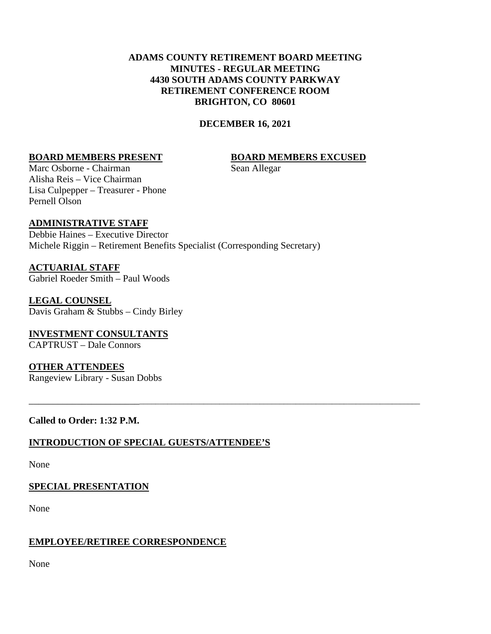# **ADAMS COUNTY RETIREMENT BOARD MEETING MINUTES - REGULAR MEETING 4430 SOUTH ADAMS COUNTY PARKWAY RETIREMENT CONFERENCE ROOM BRIGHTON, CO 80601**

## **DECEMBER 16, 2021**

\_\_\_\_\_\_\_\_\_\_\_\_\_\_\_\_\_\_\_\_\_\_\_\_\_\_\_\_\_\_\_\_\_\_\_\_\_\_\_\_\_\_\_\_\_\_\_\_\_\_\_\_\_\_\_\_\_\_\_\_\_\_\_\_\_\_\_\_\_\_\_\_\_\_\_\_\_\_\_\_\_\_\_\_\_\_\_\_\_\_\_\_\_

#### **BOARD MEMBERS PRESENT BOARD MEMBERS EXCUSED**

Marc Osborne - Chairman Sean Allegar Alisha Reis – Vice Chairman Lisa Culpepper – Treasurer - Phone Pernell Olson

#### **ADMINISTRATIVE STAFF**

Debbie Haines – Executive Director Michele Riggin – Retirement Benefits Specialist (Corresponding Secretary)

**ACTUARIAL STAFF** Gabriel Roeder Smith – Paul Woods

**LEGAL COUNSEL** Davis Graham & Stubbs – Cindy Birley

**INVESTMENT CONSULTANTS** CAPTRUST – Dale Connors

**OTHER ATTENDEES** Rangeview Library - Susan Dobbs

## **Called to Order: 1:32 P.M.**

#### **INTRODUCTION OF SPECIAL GUESTS/ATTENDEE'S**

None

#### **SPECIAL PRESENTATION**

None

#### **EMPLOYEE/RETIREE CORRESPONDENCE**

None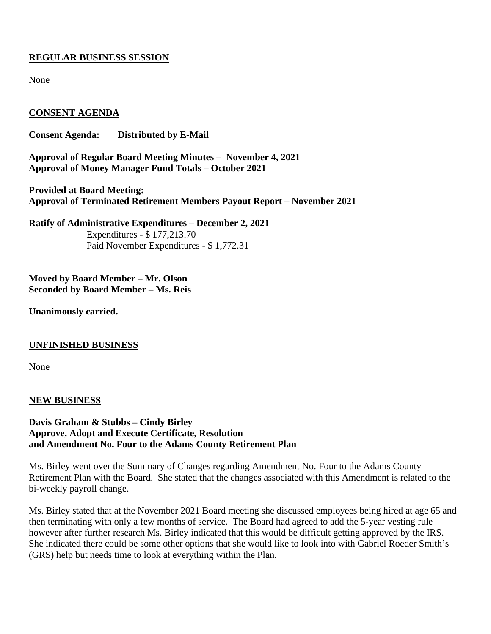# **REGULAR BUSINESS SESSION**

None

# **CONSENT AGENDA**

**Consent Agenda: Distributed by E-Mail**

**Approval of Regular Board Meeting Minutes – November 4, 2021 Approval of Money Manager Fund Totals – October 2021**

**Provided at Board Meeting: Approval of Terminated Retirement Members Payout Report – November 2021**

**Ratify of Administrative Expenditures – December 2, 2021** Expenditures - \$ 177,213.70 Paid November Expenditures - \$ 1,772.31

**Moved by Board Member – Mr. Olson Seconded by Board Member – Ms. Reis**

**Unanimously carried.**

## **UNFINISHED BUSINESS**

None

## **NEW BUSINESS**

## **Davis Graham & Stubbs – Cindy Birley Approve, Adopt and Execute Certificate, Resolution and Amendment No. Four to the Adams County Retirement Plan**

Ms. Birley went over the Summary of Changes regarding Amendment No. Four to the Adams County Retirement Plan with the Board. She stated that the changes associated with this Amendment is related to the bi-weekly payroll change.

Ms. Birley stated that at the November 2021 Board meeting she discussed employees being hired at age 65 and then terminating with only a few months of service. The Board had agreed to add the 5-year vesting rule however after further research Ms. Birley indicated that this would be difficult getting approved by the IRS. She indicated there could be some other options that she would like to look into with Gabriel Roeder Smith's (GRS) help but needs time to look at everything within the Plan.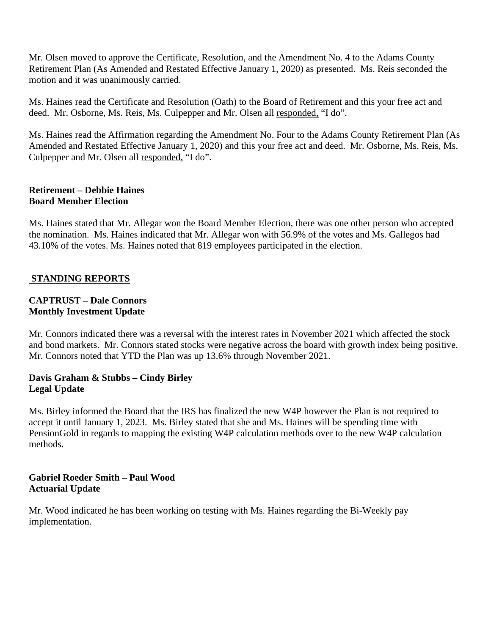Mr. Olsen moved to approve the Certificate, Resolution, and the Amendment No. 4 to the Adams County Retirement Plan (As Amended and Restated Effective January 1, 2020) as presented. Ms. Reis seconded the motion and it was unanimously carried.

Ms. Haines read the Certificate and Resolution (Oath) to the Board of Retirement and this your free act and deed. Mr. Osborne, Ms. Reis, Ms. Culpepper and Mr. Olsen all responded, "I do".

Ms. Haines read the Affirmation regarding the Amendment No. Four to the Adams County Retirement Plan (As Amended and Restated Effective January 1, 2020) and this your free act and deed. Mr. Osborne, Ms. Reis, Ms. Culpepper and Mr. Olsen all responded, "I do".

## **Retirement – Debbie Haines Board Member Election**

Ms. Haines stated that Mr. Allegar won the Board Member Election, there was one other person who accepted the nomination. Ms. Haines indicated that Mr. Allegar won with 56.9% of the votes and Ms. Gallegos had 43.10% of the votes. Ms. Haines noted that 819 employees participated in the election.

# **STANDING REPORTS**

## **CAPTRUST – Dale Connors Monthly Investment Update**

Mr. Connors indicated there was a reversal with the interest rates in November 2021 which affected the stock and bond markets. Mr. Connors stated stocks were negative across the board with growth index being positive. Mr. Connors noted that YTD the Plan was up 13.6% through November 2021.

## **Davis Graham & Stubbs – Cindy Birley Legal Update**

Ms. Birley informed the Board that the IRS has finalized the new W4P however the Plan is not required to accept it until January 1, 2023. Ms. Birley stated that she and Ms. Haines will be spending time with PensionGold in regards to mapping the existing W4P calculation methods over to the new W4P calculation methods.

# **Gabriel Roeder Smith – Paul Wood Actuarial Update**

Mr. Wood indicated he has been working on testing with Ms. Haines regarding the Bi-Weekly pay implementation.